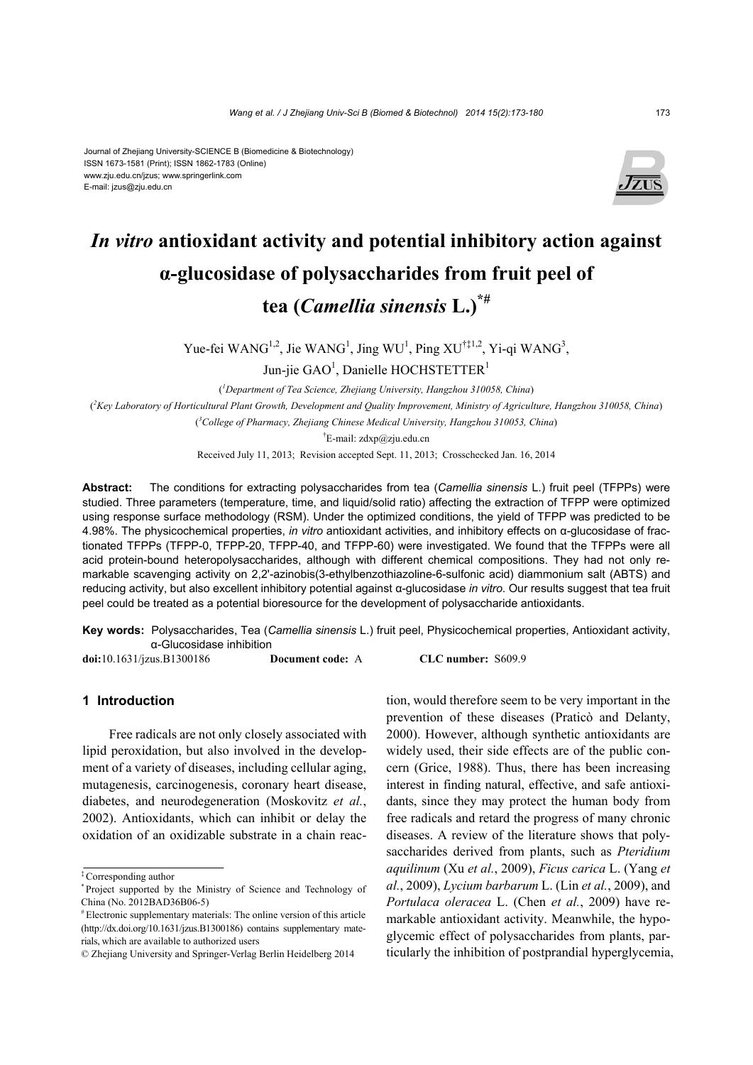#### Journal of Zhejiang University-SCIENCE B (Biomedicine & Biotechnology) ISSN 1673-1581 (Print); ISSN 1862-1783 (Online) www.zju.edu.cn/jzus; www.springerlink.com E-mail: jzus@zju.edu.cn



# *In vitro* **antioxidant activity and potential inhibitory action against α-glucosidase of polysaccharides from fruit peel of tea (***Camellia sinensis* **L.)\*#**

Yue-fei WANG<sup>1,2</sup>, Jie WANG<sup>1</sup>, Jing WU<sup>1</sup>, Ping XU<sup>†‡1,2</sup>, Yi-qi WANG<sup>3</sup>,

Jun-jie  $GAO<sup>1</sup>$ , Danielle HOCHSTETTER<sup>1</sup>

( *1 Department of Tea Science, Zhejiang University, Hangzhou 310058, China*) ( *2 Key Laboratory of Horticultural Plant Growth, Development and Quality Improvement, Ministry of Agriculture, Hangzhou 310058, China*) ( *3 College of Pharmacy, Zhejiang Chinese Medical University, Hangzhou 310053, China*)

† E-mail: zdxp@zju.edu.cn

Received July 11, 2013; Revision accepted Sept. 11, 2013; Crosschecked Jan. 16, 2014

**Abstract:** The conditions for extracting polysaccharides from tea (*Camellia sinensis* L.) fruit peel (TFPPs) were studied. Three parameters (temperature, time, and liquid/solid ratio) affecting the extraction of TFPP were optimized using response surface methodology (RSM). Under the optimized conditions, the yield of TFPP was predicted to be 4.98%. The physicochemical properties, *in vitro* antioxidant activities, and inhibitory effects on α-glucosidase of fractionated TFPPs (TFPP-0, TFPP-20, TFPP-40, and TFPP-60) were investigated. We found that the TFPPs were all acid protein-bound heteropolysaccharides, although with different chemical compositions. They had not only remarkable scavenging activity on 2,2'-azinobis(3-ethylbenzothiazoline-6-sulfonic acid) diammonium salt (ABTS) and reducing activity, but also excellent inhibitory potential against α-glucosidase *in vitro*. Our results suggest that tea fruit peel could be treated as a potential bioresource for the development of polysaccharide antioxidants.

**Key words:** Polysaccharides, Tea (*Camellia sinensis* L.) fruit peel, Physicochemical properties, Antioxidant activity, α-Glucosidase inhibition

**doi:**10.1631/jzus.B1300186 **Document code:** A **CLC number:** S609.9

**1 Introduction** 

Free radicals are not only closely associated with lipid peroxidation, but also involved in the development of a variety of diseases, including cellular aging, mutagenesis, carcinogenesis, coronary heart disease, diabetes, and neurodegeneration (Moskovitz *et al.*, 2002). Antioxidants, which can inhibit or delay the oxidation of an oxidizable substrate in a chain reaction, would therefore seem to be very important in the prevention of these diseases (Praticò and Delanty, 2000). However, although synthetic antioxidants are widely used, their side effects are of the public concern (Grice, 1988). Thus, there has been increasing interest in finding natural, effective, and safe antioxidants, since they may protect the human body from free radicals and retard the progress of many chronic diseases. A review of the literature shows that polysaccharides derived from plants, such as *Pteridium aquilinum* (Xu *et al.*, 2009), *Ficus carica* L. (Yang *et al.*, 2009), *Lycium barbarum* L. (Lin *et al.*, 2009), and *Portulaca oleracea* L. (Chen *et al.*, 2009) have remarkable antioxidant activity. Meanwhile, the hypoglycemic effect of polysaccharides from plants, particularly the inhibition of postprandial hyperglycemia,

<sup>‡</sup> Corresponding author

<sup>\*</sup> Project supported by the Ministry of Science and Technology of China (No. 2012BAD36B06-5)

<sup>#</sup> Electronic supplementary materials: The online version of this article (http://dx.doi.org/10.1631/jzus.B1300186) contains supplementary materials, which are available to authorized users

<sup>©</sup> Zhejiang University and Springer-Verlag Berlin Heidelberg 2014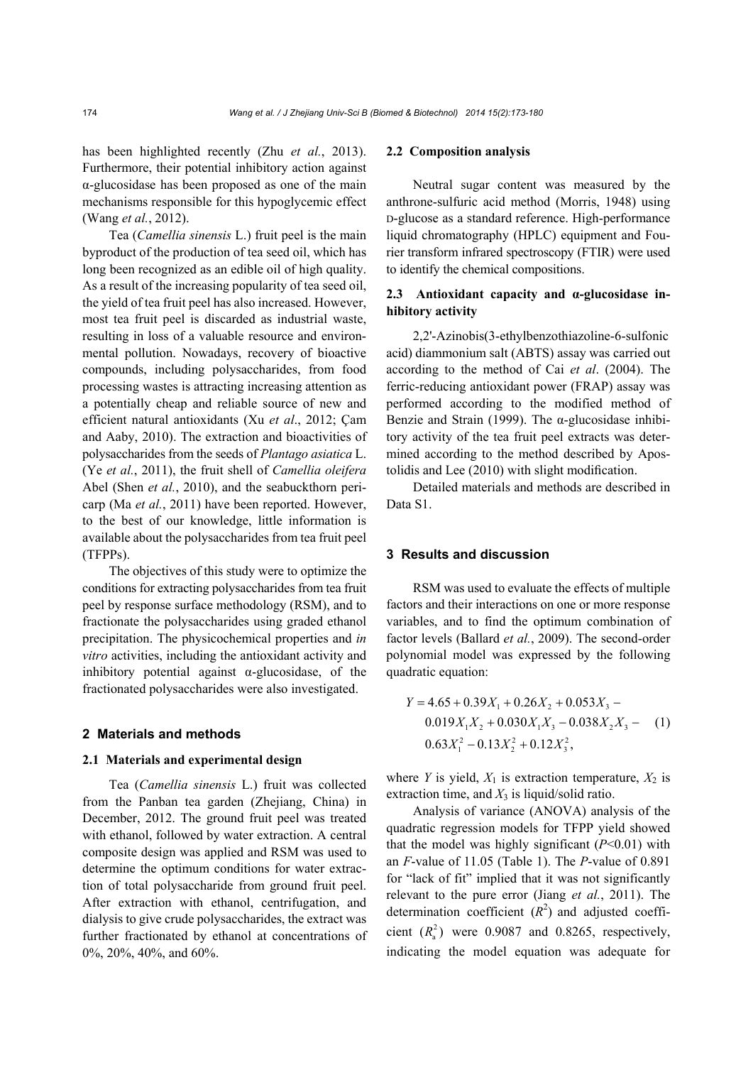has been highlighted recently (Zhu *et al.*, 2013). Furthermore, their potential inhibitory action against α-glucosidase has been proposed as one of the main mechanisms responsible for this hypoglycemic effect (Wang *et al.*, 2012).

Tea (*Camellia sinensis* L.) fruit peel is the main byproduct of the production of tea seed oil, which has long been recognized as an edible oil of high quality. As a result of the increasing popularity of tea seed oil, the yield of tea fruit peel has also increased. However, most tea fruit peel is discarded as industrial waste, resulting in loss of a valuable resource and environmental pollution. Nowadays, recovery of bioactive compounds, including polysaccharides, from food processing wastes is attracting increasing attention as a potentially cheap and reliable source of new and efficient natural antioxidants (Xu *et al*., 2012; Çam and Aaby, 2010). The extraction and bioactivities of polysaccharides from the seeds of *Plantago asiatica* L. (Ye *et al.*, 2011), the fruit shell of *Camellia oleifera*  Abel (Shen *et al.*, 2010), and the seabuckthorn pericarp (Ma *et al.*, 2011) have been reported. However, to the best of our knowledge, little information is available about the polysaccharides from tea fruit peel (TFPPs).

The objectives of this study were to optimize the conditions for extracting polysaccharides from tea fruit peel by response surface methodology (RSM), and to fractionate the polysaccharides using graded ethanol precipitation. The physicochemical properties and *in vitro* activities, including the antioxidant activity and inhibitory potential against  $\alpha$ -glucosidase, of the fractionated polysaccharides were also investigated.

## **2 Materials and methods**

## **2.1 Materials and experimental design**

Tea (*Camellia sinensis* L.) fruit was collected from the Panban tea garden (Zhejiang, China) in December, 2012. The ground fruit peel was treated with ethanol, followed by water extraction. A central composite design was applied and RSM was used to determine the optimum conditions for water extraction of total polysaccharide from ground fruit peel. After extraction with ethanol, centrifugation, and dialysis to give crude polysaccharides, the extract was further fractionated by ethanol at concentrations of 0%, 20%, 40%, and 60%.

## **2.2 Composition analysis**

Neutral sugar content was measured by the anthrone-sulfuric acid method (Morris, 1948) using D-glucose as a standard reference. High-performance liquid chromatography (HPLC) equipment and Fourier transform infrared spectroscopy (FTIR) were used to identify the chemical compositions.

# **2.3 Antioxidant capacity and α-glucosidase inhibitory activity**

2,2'-Azinobis(3-ethylbenzothiazoline-6-sulfonic acid) diammonium salt (ABTS) assay was carried out according to the method of Cai *et al*. (2004). The ferric-reducing antioxidant power (FRAP) assay was performed according to the modified method of Benzie and Strain (1999). The  $\alpha$ -glucosidase inhibitory activity of the tea fruit peel extracts was determined according to the method described by Apostolidis and Lee (2010) with slight modification.

Detailed materials and methods are described in Data S1.

## **3 Results and discussion**

RSM was used to evaluate the effects of multiple factors and their interactions on one or more response variables, and to find the optimum combination of factor levels (Ballard *et al.*, 2009). The second-order polynomial model was expressed by the following quadratic equation:

$$
Y = 4.65 + 0.39X_1 + 0.26X_2 + 0.053X_3 - 0.019X_1X_2 + 0.030X_1X_3 - 0.038X_2X_3 - 0.063X_1^2 - 0.13X_2^2 + 0.12X_3^2,
$$
 (1)

where *Y* is yield,  $X_1$  is extraction temperature,  $X_2$  is extraction time, and  $X_3$  is liquid/solid ratio.

Analysis of variance (ANOVA) analysis of the quadratic regression models for TFPP yield showed that the model was highly significant (*P*<0.01) with an *F*-value of 11.05 (Table 1). The *P*-value of 0.891 for "lack of fit" implied that it was not significantly relevant to the pure error (Jiang *et al.*, 2011). The determination coefficient  $(R^2)$  and adjusted coefficient  $(R_a^2)$  were 0.9087 and 0.8265, respectively, indicating the model equation was adequate for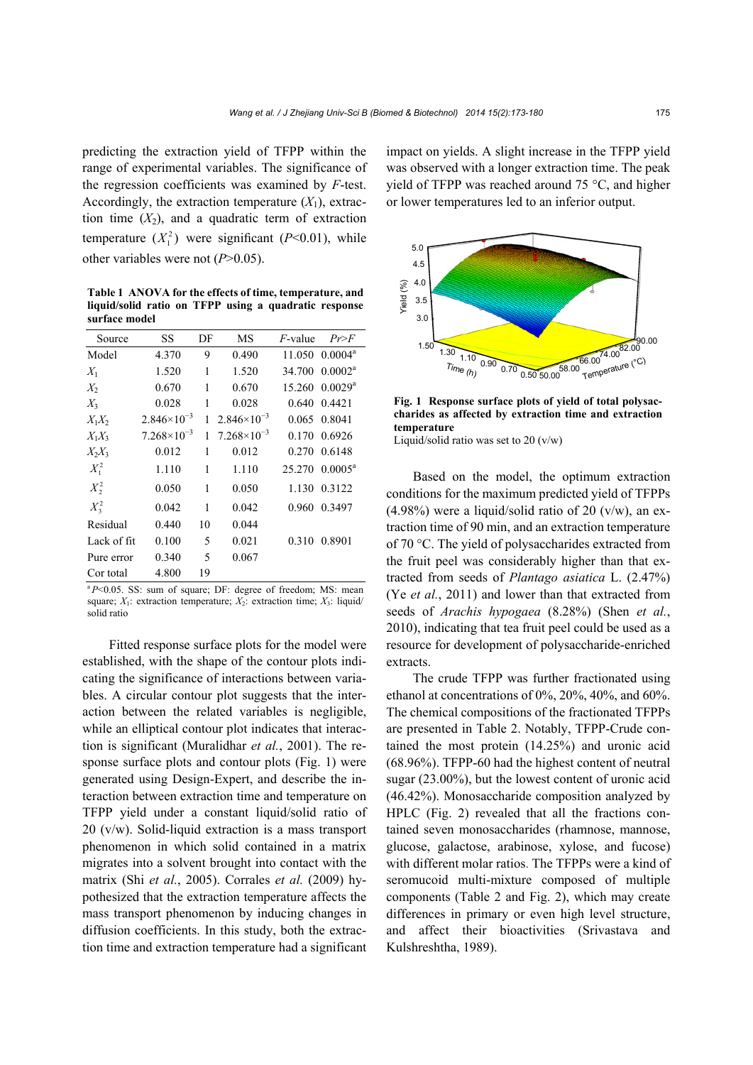predicting the extraction yield of TFPP within the range of experimental variables. The significance of the regression coefficients was examined by *F*-test. Accordingly, the extraction temperature  $(X_1)$ , extraction time  $(X_2)$ , and a quadratic term of extraction temperature  $(X_1^2)$  were significant (*P*<0.01), while other variables were not (*P*>0.05).

**Table 1 ANOVA for the effects of time, temperature, and liquid/solid ratio on TFPP using a quadratic response surface model**

| Source      | SS                   | DF | МS                   | $F$ -value | Pr>F                       |
|-------------|----------------------|----|----------------------|------------|----------------------------|
| Model       | 4.370                | 9  | 0.490                |            | 11.050 0.0004 <sup>a</sup> |
| $X_1$       | 1.520                | 1  | 1.520                | 34.700     | $0.0002^a$                 |
| $X_2$       | 0.670                | 1  | 0.670                | 15.260     | $0.0029$ <sup>a</sup>      |
| $X_3$       | 0.028                | 1  | 0.028                | 0.640      | 0.4421                     |
| $X_1X_2$    | $2.846\times10^{-3}$ | 1  | $2.846\times10^{-3}$ | 0.065      | 0.8041                     |
| $X_1X_3$    | $7.268\times10^{-3}$ | 1  | $7.268\times10^{-3}$ | 0.170      | 0.6926                     |
| $X_2X_3$    | 0.012                | 1  | 0.012                | 0.270      | 0.6148                     |
| $X_1^2$     | 1.110                | 1  | 1.110                |            | $25.270 \cdot 0.0005^a$    |
| $X^2$       | 0.050                | 1  | 0.050                |            | 1.130 0.3122               |
| $X_3^2$     | 0.042                | 1  | 0.042                | 0.960      | 0.3497                     |
| Residual    | 0.440                | 10 | 0.044                |            |                            |
| Lack of fit | 0.100                | 5  | 0.021                | 0.310      | 0.8901                     |
| Pure error  | 0.340                | 5  | 0.067                |            |                            |
| Cor total   | 4.800                | 19 |                      |            |                            |

<sup>a</sup> $P$ <0.05. SS: sum of square; DF: degree of freedom; MS: mean square;  $X_1$ : extraction temperature;  $X_2$ : extraction time;  $X_3$ : liquid/ solid ratio

Fitted response surface plots for the model were established, with the shape of the contour plots indicating the significance of interactions between variables. A circular contour plot suggests that the interaction between the related variables is negligible, while an elliptical contour plot indicates that interaction is significant (Muralidhar *et al.*, 2001). The response surface plots and contour plots (Fig. 1) were generated using Design-Expert, and describe the interaction between extraction time and temperature on TFPP yield under a constant liquid/solid ratio of 20 (v/w). Solid-liquid extraction is a mass transport phenomenon in which solid contained in a matrix migrates into a solvent brought into contact with the matrix (Shi *et al.*, 2005). Corrales *et al.* (2009) hypothesized that the extraction temperature affects the mass transport phenomenon by inducing changes in diffusion coefficients. In this study, both the extraction time and extraction temperature had a significant impact on yields. A slight increase in the TFPP yield was observed with a longer extraction time. The peak yield of TFPP was reached around 75 °C, and higher or lower temperatures led to an inferior output.



**Fig. 1 Response surface plots of yield of total polysaccharides as affected by extraction time and extraction temperature**  Liquid/solid ratio was set to 20  $(v/w)$ 

Based on the model, the optimum extraction conditions for the maximum predicted yield of TFPPs  $(4.98\%)$  were a liquid/solid ratio of 20 (v/w), an extraction time of 90 min, and an extraction temperature of 70 °C. The yield of polysaccharides extracted from the fruit peel was considerably higher than that extracted from seeds of *Plantago asiatica* L. (2.47%) (Ye *et al.*, 2011) and lower than that extracted from seeds of *Arachis hypogaea* (8.28%) (Shen *et al.*, 2010), indicating that tea fruit peel could be used as a resource for development of polysaccharide-enriched extracts.

The crude TFPP was further fractionated using ethanol at concentrations of 0%, 20%, 40%, and 60%. The chemical compositions of the fractionated TFPPs are presented in Table 2. Notably, TFPP-Crude contained the most protein (14.25%) and uronic acid (68.96%). TFPP-60 had the highest content of neutral sugar (23.00%), but the lowest content of uronic acid (46.42%). Monosaccharide composition analyzed by HPLC (Fig. 2) revealed that all the fractions contained seven monosaccharides (rhamnose, mannose, glucose, galactose, arabinose, xylose, and fucose) with different molar ratios. The TFPPs were a kind of seromucoid multi-mixture composed of multiple components (Table 2 and Fig. 2), which may create differences in primary or even high level structure, and affect their bioactivities (Srivastava and Kulshreshtha, 1989).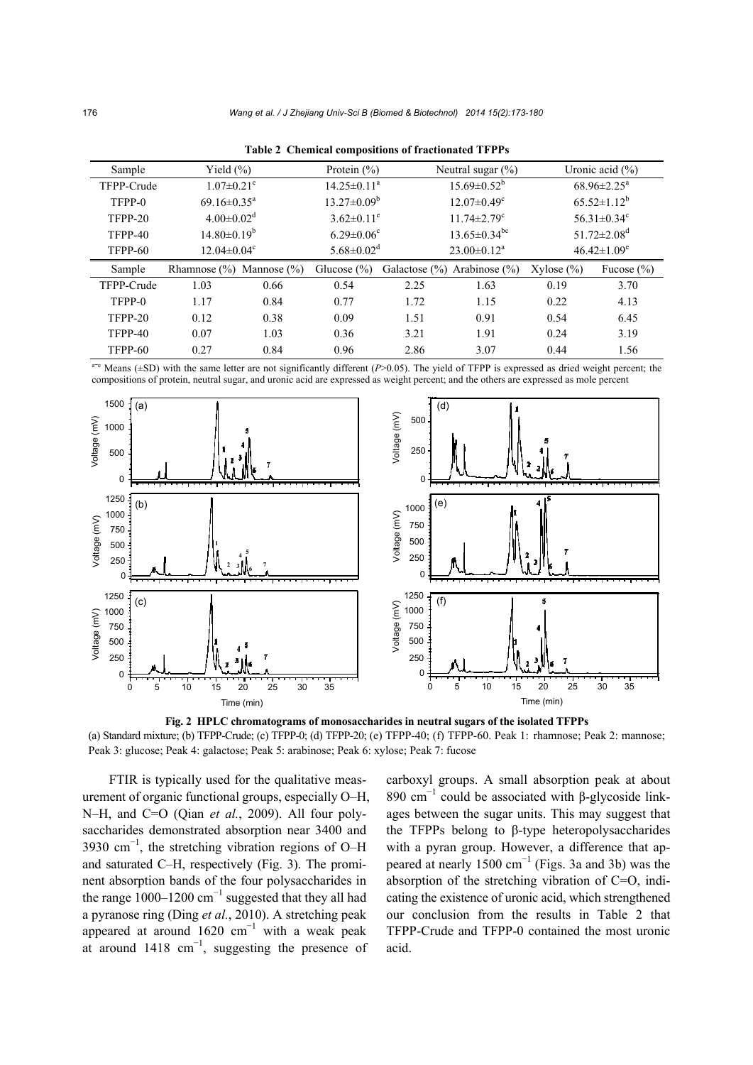| Sample     | Yield $(\% )$                  |      | Protein $(\% )$              |      | Neutral sugar $(\% )$             |                               | Uronic acid $(\% )$           |
|------------|--------------------------------|------|------------------------------|------|-----------------------------------|-------------------------------|-------------------------------|
| TFPP-Crude | $1.07 \pm 0.21$ <sup>e</sup>   |      | $14.25 \pm 0.11^a$           |      | $15.69 \pm 0.52^b$                | $68.96 \pm 2.25^{\text{a}}$   |                               |
| TFPP-0     | $69.16 \pm 0.35$ <sup>a</sup>  |      | $13.27 \pm 0.09^b$           |      | $12.07 \pm 0.49$ <sup>c</sup>     | $65.52 \pm 1.12^b$            |                               |
| TFPP-20    | $4.00 \pm 0.02$ <sup>d</sup>   |      | $3.62 \pm 0.11^e$            |      | $11.74 \pm 2.79$ <sup>c</sup>     | $56.31 \pm 0.34$ <sup>c</sup> |                               |
| TFPP-40    | $14.80 \pm 0.19^b$             |      | $6.29 \pm 0.06$ <sup>c</sup> |      | $13.65 \pm 0.34$ <sup>bc</sup>    |                               | $51.72 \pm 2.08$ <sup>d</sup> |
| TFPP-60    | $12.04 \pm 0.04$ <sup>c</sup>  |      | $5.68 \pm 0.02$ <sup>d</sup> |      | $23.00 \pm 0.12^a$                |                               | $46.42 \pm 1.09$ <sup>e</sup> |
| Sample     | Rhamnose $(\%)$ Mannose $(\%)$ |      | Glucose $(\%)$               |      | Galactose $(\%)$ Arabinose $(\%)$ | $Xylose (\%)$                 | Fucose $(\% )$                |
| TFPP-Crude | 1.03                           | 0.66 | 0.54                         | 2.25 | 1.63                              | 0.19                          | 3.70                          |
| TFPP-0     | 1.17                           | 0.84 | 0.77                         | 1.72 | 1.15                              | 0.22                          | 4.13                          |
| TFPP-20    | 0.12                           | 0.38 | 0.09                         | 1.51 | 0.91                              | 0.54                          | 6.45                          |
| TFPP-40    | 0.07                           | 1.03 | 0.36                         | 3.21 | 1.91                              | 0.24                          | 3.19                          |
| TFPP-60    | 0.27                           | 0.84 | 0.96                         | 2.86 | 3.07                              | 0.44                          | 1.56                          |

**Table 2 Chemical compositions of fractionated TFPPs**

a<sup>+e</sup> Means (±SD) with the same letter are not significantly different (*P*>0.05). The yield of TFPP is expressed as dried weight percent; the compositions of protein, neutral sugar, and uronic acid are expressed as weight percent; and the others are expressed as mole percent



**Fig. 2 HPLC chromatograms of monosaccharides in neutral sugars of the isolated TFPPs**  (a) Standard mixture; (b) TFPP-Crude; (c) TFPP-0; (d) TFPP-20; (e) TFPP-40; (f) TFPP-60. Peak 1: rhamnose; Peak 2: mannose; Peak 3: glucose; Peak 4: galactose; Peak 5: arabinose; Peak 6: xylose; Peak 7: fucose

FTIR is typically used for the qualitative measurement of organic functional groups, especially O–H, N–H, and C=O (Qian *et al.*, 2009). All four polysaccharides demonstrated absorption near 3400 and 3930 cm<sup>-1</sup>, the stretching vibration regions of O–H and saturated C–H, respectively (Fig. 3). The prominent absorption bands of the four polysaccharides in the range 1000–1200  $\text{cm}^{-1}$  suggested that they all had a pyranose ring (Ding *et al.*, 2010). A stretching peak appeared at around  $1620 \text{ cm}^{-1}$  with a weak peak at around  $1418 \text{ cm}^{-1}$ , suggesting the presence of carboxyl groups. A small absorption peak at about 890 cm<sup>-1</sup> could be associated with β-glycoside linkages between the sugar units. This may suggest that the TFPPs belong to β-type heteropolysaccharides with a pyran group. However, a difference that appeared at nearly 1500  $\text{cm}^{-1}$  (Figs. 3a and 3b) was the absorption of the stretching vibration of C=O, indicating the existence of uronic acid, which strengthened our conclusion from the results in Table 2 that TFPP-Crude and TFPP-0 contained the most uronic acid.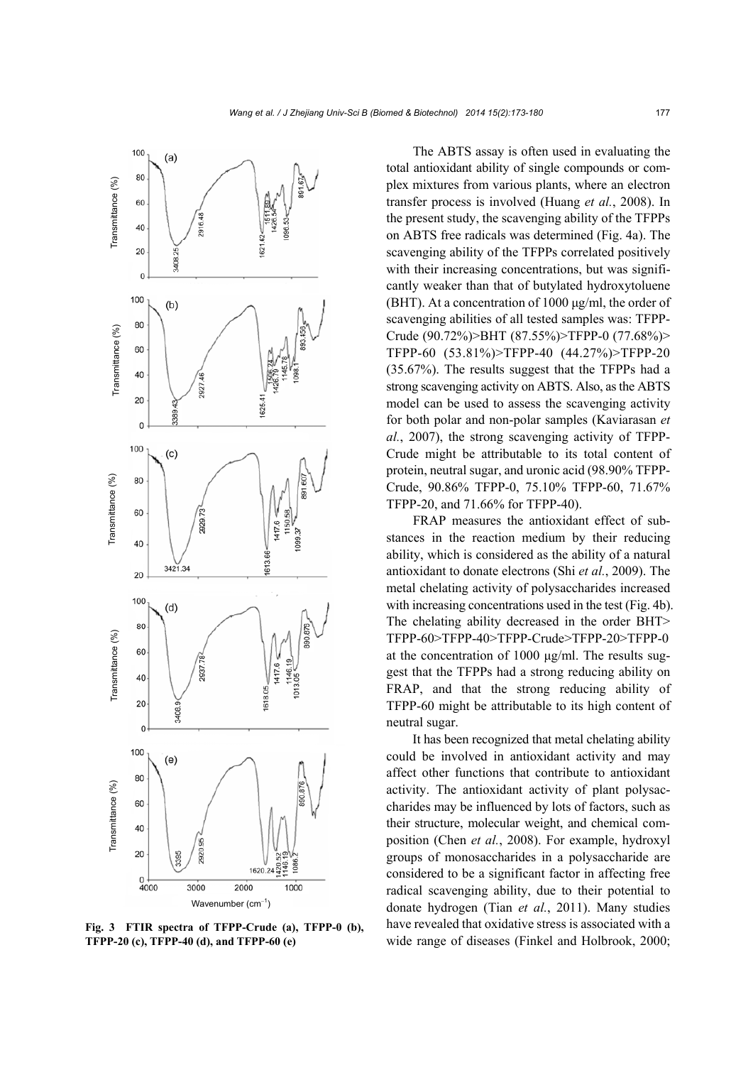

**Fig. 3 FTIR spectra of TFPP-Crude (a), TFPP-0 (b), TFPP-20 (c), TFPP-40 (d), and TFPP-60 (e)**

The ABTS assay is often used in evaluating the total antioxidant ability of single compounds or complex mixtures from various plants, where an electron transfer process is involved (Huang *et al.*, 2008). In the present study, the scavenging ability of the TFPPs on ABTS free radicals was determined (Fig. 4a). The scavenging ability of the TFPPs correlated positively with their increasing concentrations, but was significantly weaker than that of butylated hydroxytoluene (BHT). At a concentration of 1000 μg/ml, the order of scavenging abilities of all tested samples was: TFPP-Crude (90.72%)>BHT (87.55%)>TFPP-0 (77.68%)> TFPP-60 (53.81%)>TFPP-40 (44.27%)>TFPP-20 (35.67%). The results suggest that the TFPPs had a strong scavenging activity on ABTS. Also, as the ABTS model can be used to assess the scavenging activity for both polar and non-polar samples (Kaviarasan *et al.*, 2007), the strong scavenging activity of TFPP-Crude might be attributable to its total content of protein, neutral sugar, and uronic acid (98.90% TFPP-Crude, 90.86% TFPP-0, 75.10% TFPP-60, 71.67% TFPP-20, and 71.66% for TFPP-40).

FRAP measures the antioxidant effect of substances in the reaction medium by their reducing ability, which is considered as the ability of a natural antioxidant to donate electrons (Shi *et al.*, 2009). The metal chelating activity of polysaccharides increased with increasing concentrations used in the test (Fig. 4b). The chelating ability decreased in the order BHT> TFPP-60>TFPP-40>TFPP-Crude>TFPP-20>TFPP-0 at the concentration of 1000 μg/ml. The results suggest that the TFPPs had a strong reducing ability on FRAP, and that the strong reducing ability of TFPP-60 might be attributable to its high content of neutral sugar.

It has been recognized that metal chelating ability could be involved in antioxidant activity and may affect other functions that contribute to antioxidant activity. The antioxidant activity of plant polysaccharides may be influenced by lots of factors, such as their structure, molecular weight, and chemical composition (Chen *et al.*, 2008). For example, hydroxyl groups of monosaccharides in a polysaccharide are considered to be a significant factor in affecting free radical scavenging ability, due to their potential to donate hydrogen (Tian *et al.*, 2011). Many studies have revealed that oxidative stress is associated with a wide range of diseases (Finkel and Holbrook, 2000;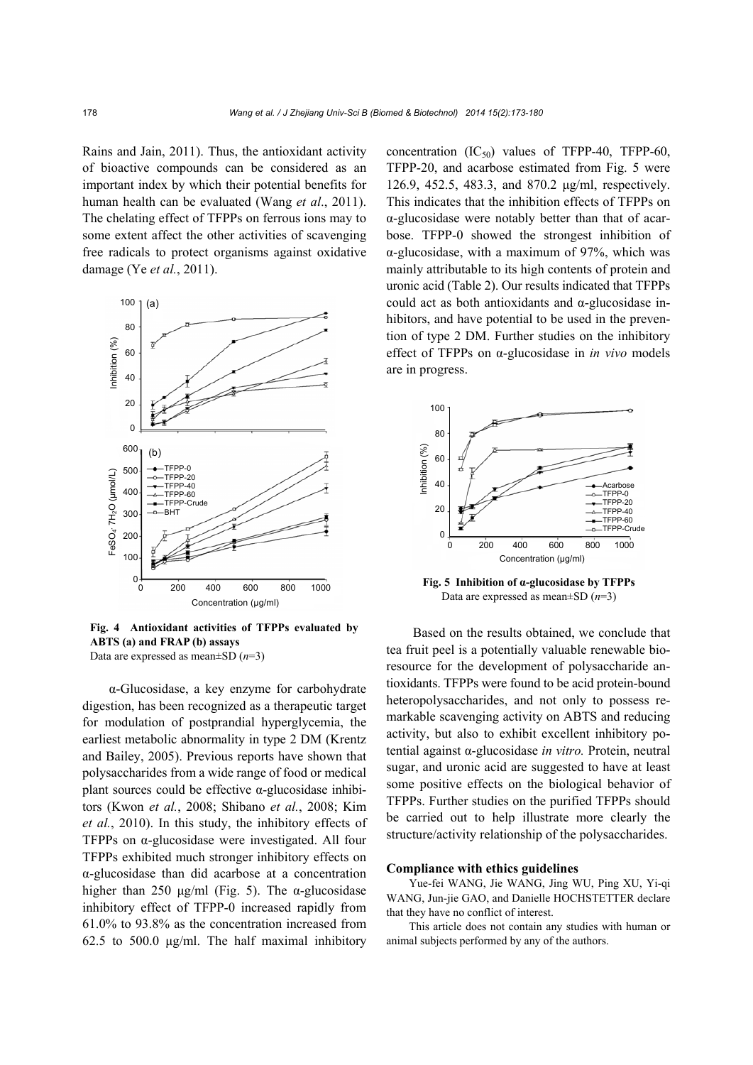Rains and Jain, 2011). Thus, the antioxidant activity of bioactive compounds can be considered as an important index by which their potential benefits for human health can be evaluated (Wang *et al*., 2011). The chelating effect of TFPPs on ferrous ions may to some extent affect the other activities of scavenging free radicals to protect organisms against oxidative damage (Ye *et al.*, 2011).



**Fig. 4 Antioxidant activities of TFPPs evaluated by ABTS (a) and FRAP (b) assays**  Data are expressed as mean±SD (*n*=3)

α-Glucosidase, a key enzyme for carbohydrate digestion, has been recognized as a therapeutic target for modulation of postprandial hyperglycemia, the earliest metabolic abnormality in type 2 DM (Krentz and Bailey, 2005). Previous reports have shown that polysaccharides from a wide range of food or medical plant sources could be effective  $\alpha$ -glucosidase inhibitors (Kwon *et al.*, 2008; Shibano *et al.*, 2008; Kim *et al.*, 2010). In this study, the inhibitory effects of TFPPs on α-glucosidase were investigated. All four TFPPs exhibited much stronger inhibitory effects on α-glucosidase than did acarbose at a concentration higher than 250 μg/ml (Fig. 5). The  $\alpha$ -glucosidase inhibitory effect of TFPP-0 increased rapidly from 61.0% to 93.8% as the concentration increased from 62.5 to 500.0 μg/ml. The half maximal inhibitory concentration  $(IC_{50})$  values of TFPP-40, TFPP-60, TFPP-20, and acarbose estimated from Fig. 5 were 126.9, 452.5, 483.3, and 870.2 μg/ml, respectively. This indicates that the inhibition effects of TFPPs on α-glucosidase were notably better than that of acarbose. TFPP-0 showed the strongest inhibition of α-glucosidase, with a maximum of 97%, which was mainly attributable to its high contents of protein and uronic acid (Table 2). Our results indicated that TFPPs could act as both antioxidants and  $\alpha$ -glucosidase inhibitors, and have potential to be used in the prevention of type 2 DM. Further studies on the inhibitory effect of TFPPs on α-glucosidase in *in vivo* models are in progress.



**Fig. 5 Inhibition of α-glucosidase by TFPPs**  Data are expressed as mean±SD (*n*=3)

Based on the results obtained, we conclude that tea fruit peel is a potentially valuable renewable bioresource for the development of polysaccharide antioxidants. TFPPs were found to be acid protein-bound heteropolysaccharides, and not only to possess remarkable scavenging activity on ABTS and reducing activity, but also to exhibit excellent inhibitory potential against α-glucosidase *in vitro.* Protein, neutral sugar, and uronic acid are suggested to have at least some positive effects on the biological behavior of TFPPs. Further studies on the purified TFPPs should be carried out to help illustrate more clearly the structure/activity relationship of the polysaccharides.

## **Compliance with ethics guidelines**

Yue-fei WANG, Jie WANG, Jing WU, Ping XU, Yi-qi WANG, Jun-jie GAO, and Danielle HOCHSTETTER declare that they have no conflict of interest.

This article does not contain any studies with human or animal subjects performed by any of the authors.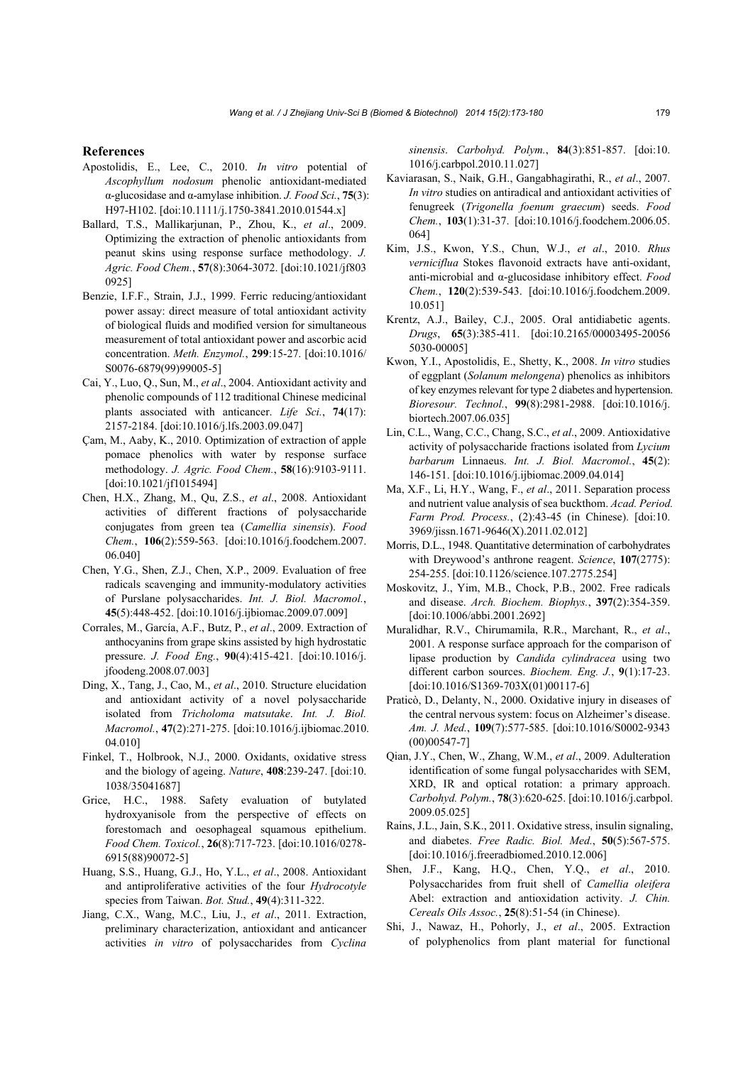### **References**

- Apostolidis, E., Lee, C., 2010. *In vitro* potential of *Ascophyllum nodosum* phenolic antioxidant-mediated α-glucosidase and α-amylase inhibition. *J. Food Sci.*, **75**(3): H97-H102. [doi:10.1111/j.1750-3841.2010.01544.x]
- Ballard, T.S., Mallikarjunan, P., Zhou, K., *et al*., 2009. Optimizing the extraction of phenolic antioxidants from peanut skins using response surface methodology. *J. Agric. Food Chem.*, **57**(8):3064-3072. [doi:10.1021/jf803 0925]
- Benzie, I.F.F., Strain, J.J., 1999. Ferric reducing/antioxidant power assay: direct measure of total antioxidant activity of biological fluids and modified version for simultaneous measurement of total antioxidant power and ascorbic acid concentration. *Meth. Enzymol.*, **299**:15-27. [doi:10.1016/ S0076-6879(99)99005-5]
- Cai, Y., Luo, Q., Sun, M., *et al*., 2004. Antioxidant activity and phenolic compounds of 112 traditional Chinese medicinal plants associated with anticancer. *Life Sci.*, **74**(17): 2157-2184. [doi:10.1016/j.lfs.2003.09.047]
- Çam, M., Aaby, K., 2010. Optimization of extraction of apple pomace phenolics with water by response surface methodology. *J. Agric. Food Chem.*, **58**(16):9103-9111. [doi:10.1021/jf1015494]
- Chen, H.X., Zhang, M., Qu, Z.S., *et al*., 2008. Antioxidant activities of different fractions of polysaccharide conjugates from green tea (*Camellia sinensis*). *Food Chem.*, **106**(2):559-563. [doi:10.1016/j.foodchem.2007. 06.040]
- Chen, Y.G., Shen, Z.J., Chen, X.P., 2009. Evaluation of free radicals scavenging and immunity-modulatory activities of Purslane polysaccharides. *Int. J. Biol. Macromol.*, **45**(5):448-452. [doi:10.1016/j.ijbiomac.2009.07.009]
- Corrales, M., García, A.F., Butz, P., *et al*., 2009. Extraction of anthocyanins from grape skins assisted by high hydrostatic pressure. *J. Food Eng.*, **90**(4):415-421. [doi:10.1016/j. jfoodeng.2008.07.003]
- Ding, X., Tang, J., Cao, M., *et al*., 2010. Structure elucidation and antioxidant activity of a novel polysaccharide isolated from *Tricholoma matsutake*. *Int. J. Biol. Macromol.*, **47**(2):271-275. [doi:10.1016/j.ijbiomac.2010. 04.010]
- Finkel, T., Holbrook, N.J., 2000. Oxidants, oxidative stress and the biology of ageing. *Nature*, **408**:239-247. [doi:10. 1038/35041687]
- Grice, H.C., 1988. Safety evaluation of butylated hydroxyanisole from the perspective of effects on forestomach and oesophageal squamous epithelium. *Food Chem. Toxicol.*, **26**(8):717-723. [doi:10.1016/0278- 6915(88)90072-5]
- Huang, S.S., Huang, G.J., Ho, Y.L., *et al*., 2008. Antioxidant and antiproliferative activities of the four *Hydrocotyle* species from Taiwan. *Bot. Stud.*, **49**(4):311-322.
- Jiang, C.X., Wang, M.C., Liu, J., *et al*., 2011. Extraction, preliminary characterization, antioxidant and anticancer activities *in vitro* of polysaccharides from *Cyclina*

*sinensis*. *Carbohyd. Polym.*, **84**(3):851-857. [doi:10. 1016/j.carbpol.2010.11.027]

- Kaviarasan, S., Naik, G.H., Gangabhagirathi, R., *et al*., 2007. *In vitro* studies on antiradical and antioxidant activities of fenugreek (*Trigonella foenum graecum*) seeds. *Food Chem.*, **103**(1):31-37. [doi:10.1016/j.foodchem.2006.05. 064]
- Kim, J.S., Kwon, Y.S., Chun, W.J., *et al*., 2010. *Rhus verniciflua* Stokes flavonoid extracts have anti-oxidant, anti-microbial and α-glucosidase inhibitory effect. *Food Chem.*, **120**(2):539-543. [doi:10.1016/j.foodchem.2009. 10.051]
- Krentz, A.J., Bailey, C.J., 2005. Oral antidiabetic agents. *Drugs*, **65**(3):385-411. [doi:10.2165/00003495-20056 5030-00005]
- Kwon, Y.I., Apostolidis, E., Shetty, K., 2008. *In vitro* studies of eggplant (*Solanum melongena*) phenolics as inhibitors of key enzymes relevant for type 2 diabetes and hypertension. *Bioresour. Technol.*, **99**(8):2981-2988. [doi:10.1016/j. biortech.2007.06.035]
- Lin, C.L., Wang, C.C., Chang, S.C., *et al*., 2009. Antioxidative activity of polysaccharide fractions isolated from *Lycium barbarum* Linnaeus. *Int. J. Biol. Macromol.*, **45**(2): 146-151. [doi:10.1016/j.ijbiomac.2009.04.014]
- Ma, X.F., Li, H.Y., Wang, F., *et al*., 2011. Separation process and nutrient value analysis of sea buckthom. *Acad. Period. Farm Prod. Process.*, (2):43-45 (in Chinese). [doi:10. 3969/jissn.1671-9646(X).2011.02.012]
- Morris, D.L., 1948. Quantitative determination of carbohydrates with Dreywood's anthrone reagent. *Science*, **107**(2775): 254-255. [doi:10.1126/science.107.2775.254]
- Moskovitz, J., Yim, M.B., Chock, P.B., 2002. Free radicals and disease. *Arch. Biochem. Biophys.*, **397**(2):354-359. [doi:10.1006/abbi.2001.2692]
- Muralidhar, R.V., Chirumamila, R.R., Marchant, R., *et al*., 2001. A response surface approach for the comparison of lipase production by *Candida cylindracea* using two different carbon sources. *Biochem. Eng. J.*, **9**(1):17-23. [doi:10.1016/S1369-703X(01)00117-6]
- Praticò, D., Delanty, N., 2000. Oxidative injury in diseases of the central nervous system: focus on Alzheimer's disease. *Am. J. Med.*, **109**(7):577-585. [doi:10.1016/S0002-9343 (00)00547-7]
- Qian, J.Y., Chen, W., Zhang, W.M., *et al*., 2009. Adulteration identification of some fungal polysaccharides with SEM, XRD, IR and optical rotation: a primary approach. *Carbohyd. Polym.*, **78**(3):620-625. [doi:10.1016/j.carbpol. 2009.05.025]
- Rains, J.L., Jain, S.K., 2011. Oxidative stress, insulin signaling, and diabetes. *Free Radic. Biol. Med.*, **50**(5):567-575. [doi:10.1016/j.freeradbiomed.2010.12.006]
- Shen, J.F., Kang, H.Q., Chen, Y.Q., *et al*., 2010. Polysaccharides from fruit shell of *Camellia oleifera* Abel: extraction and antioxidation activity. *J. Chin. Cereals Oils Assoc.*, **25**(8):51-54 (in Chinese).
- Shi, J., Nawaz, H., Pohorly, J., *et al*., 2005. Extraction of polyphenolics from plant material for functional